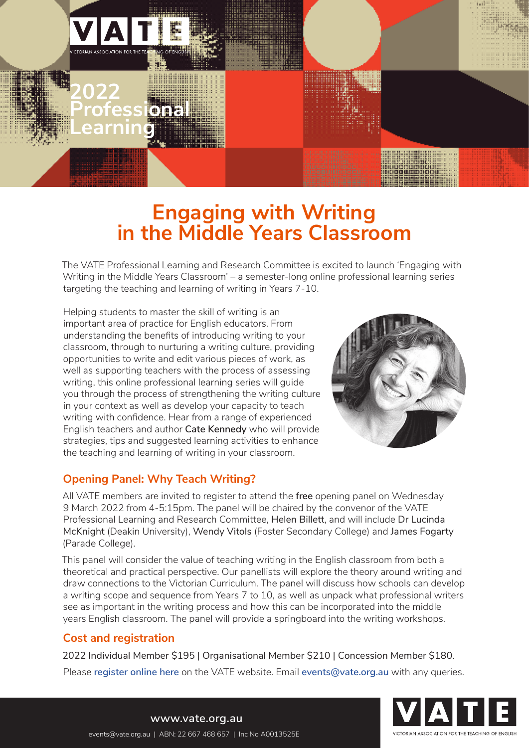

**Professional** 

**Learning** 

**2022**

# **Engaging with Writing in the Middle Years Classroom**

The VATE Professional Learning and Research Committee is excited to launch 'Engaging with Writing in the Middle Years Classroom' – a semester-long online professional learning series targeting the teaching and learning of writing in Years 7-10.

Helping students to master the skill of writing is an important area of practice for English educators. From understanding the benefits of introducing writing to your classroom, through to nurturing a writing culture, providing opportunities to write and edit various pieces of work, as well as supporting teachers with the process of assessing writing, this online professional learning series will guide you through the process of strengthening the writing culture in your context as well as develop your capacity to teach writing with confidence. Hear from a range of experienced English teachers and author **Cate Kennedy** who will provide strategies, tips and suggested learning activities to enhance the teaching and learning of writing in your classroom.



## **Opening Panel: Why Teach Writing?**

All VATE members are invited to register to attend the **free** opening panel on Wednesday 9 March 2022 from 4-5:15pm. The panel will be chaired by the convenor of the VATE Professional Learning and Research Committee, Helen Billett, and will include Dr Lucinda McKnight (Deakin University), Wendy Vitols (Foster Secondary College) and James Fogarty (Parade College).

This panel will consider the value of teaching writing in the English classroom from both a theoretical and practical perspective. Our panellists will explore the theory around writing and draw connections to the Victorian Curriculum. The panel will discuss how schools can develop a writing scope and sequence from Years 7 to 10, as well as unpack what professional writers see as important in the writing process and how this can be incorporated into the middle years English classroom. The panel will provide a springboard into the writing workshops.

## **Cost and registration**

2022 Individual Member \$195 | Organisational Member \$210 | Concession Member \$180. Please **[register online here](https://www.vate.org.au/events/engaging-writing-middle-years-classroom)** on the VATE website. Email **[events@vate.org.au](mailto:events%40vate.org.au?subject=)** with any queries.



**[www.vate.org.au](https://www.vate.org.au/)** [events@vate.org.au](mailto:events%40vate.org.au?subject=) | ABN: 22 667 468 657 | Inc No A0013525E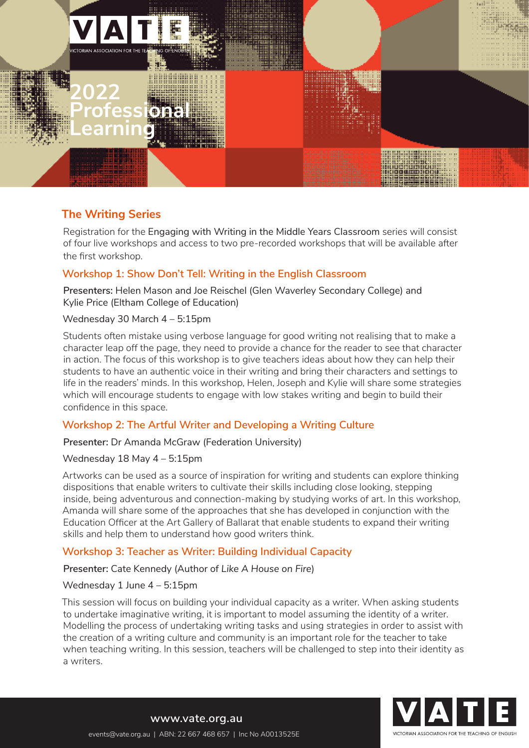

# **2022 Professional Learning**

## **The Writing Series**

Registration for the Engaging with Writing in the Middle Years Classroom series will consist of four live workshops and access to two pre-recorded workshops that will be available after the first workshop.

## **Workshop 1: Show Don't Tell: Writing in the English Classroom**

**Presenters:** Helen Mason and Joe Reischel (Glen Waverley Secondary College) and Kylie Price (Eltham College of Education)

Wednesday 30 March 4 – 5:15pm

Students often mistake using verbose language for good writing not realising that to make a character leap off the page, they need to provide a chance for the reader to see that character in action. The focus of this workshop is to give teachers ideas about how they can help their students to have an authentic voice in their writing and bring their characters and settings to life in the readers' minds. In this workshop, Helen, Joseph and Kylie will share some strategies which will encourage students to engage with low stakes writing and begin to build their confidence in this space.

## **Workshop 2: The Artful Writer and Developing a Writing Culture**

**Presenter:** Dr Amanda McGraw (Federation University)

Wednesday 18 May 4 – 5:15pm

Artworks can be used as a source of inspiration for writing and students can explore thinking dispositions that enable writers to cultivate their skills including close looking, stepping inside, being adventurous and connection-making by studying works of art. In this workshop, Amanda will share some of the approaches that she has developed in conjunction with the Education Officer at the Art Gallery of Ballarat that enable students to expand their writing skills and help them to understand how good writers think.

## **Workshop 3: Teacher as Writer: Building Individual Capacity**

**Presenter:** Cate Kennedy (Author of *Like A House on Fire*)

Wednesday 1 June 4 – 5:15pm

This session will focus on building your individual capacity as a writer. When asking students to undertake imaginative writing, it is important to model assuming the identity of a writer. Modelling the process of undertaking writing tasks and using strategies in order to assist with the creation of a writing culture and community is an important role for the teacher to take when teaching writing. In this session, teachers will be challenged to step into their identity as a writers.



**[www.vate.org.au](https://www.vate.org.au/)** [events@vate.org.au](mailto:events%40vate.org.au?subject=) | ABN: 22 667 468 657 | Inc No A0013525E